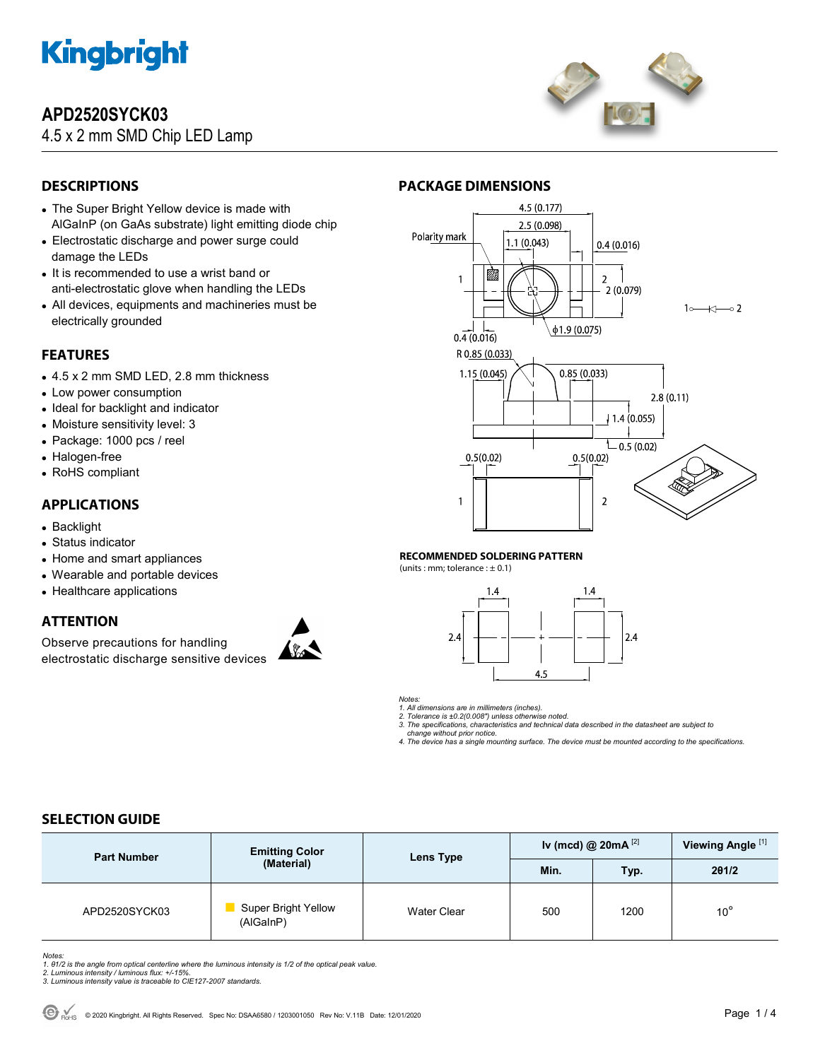

# **APD2520SYCK03**

4.5 x 2 mm SMD Chip LED Lamp



## **DESCRIPTIONS**

- The Super Bright Yellow device is made with AlGaInP (on GaAs substrate) light emitting diode chip
- Electrostatic discharge and power surge could damage the LEDs
- It is recommended to use a wrist band or anti-electrostatic glove when handling the LEDs
- All devices, equipments and machineries must be electrically grounded

## **FEATURES**

- 4.5 x 2 mm SMD LED, 2.8 mm thickness
- Low power consumption
- Ideal for backlight and indicator
- Moisture sensitivity level: 3
- Package: 1000 pcs / reel
- Halogen-free
- RoHS compliant

## **APPLICATIONS**

- Backlight
- Status indicator
- Home and smart appliances
- Wearable and portable devices
- Healthcare applications

## **ATTENTION**

Observe precautions for handling electrostatic discharge sensitive devices





#### **RECOMMENDED SOLDERING PATTERN**

(units : mm; tolerance :  $\pm$  0.1)



*Notes:* 

*1. All dimensions are in millimeters (inches).* 

*2. Tolerance is ±0.2(0.008") unless otherwise noted. 3. The specifications, characteristics and technical data described in the datasheet are subject to* 

 *change without prior notice. 4. The device has a single mounting surface. The device must be mounted according to the specifications.* 

## **SELECTION GUIDE**

| <b>Part Number</b> | <b>Emitting Color</b><br>(Material)     | Lens Type   | Iv (mcd) @ $20mA^{[2]}$ |      | Viewing Angle <sup>[1]</sup> |
|--------------------|-----------------------------------------|-------------|-------------------------|------|------------------------------|
|                    |                                         |             | Min.                    | Typ. | 201/2                        |
| APD2520SYCK03      | <b>Super Bright Yellow</b><br>(AlGaInP) | Water Clear | 500                     | 1200 | $10^{\circ}$                 |

Notes:<br>1. 81/2 is the angle from optical centerline where the luminous intensity is 1/2 of the optical peak value.<br>2. Luminous intensity / luminous flux: +/-15%.<br>3. Luminous intensity value is traceable to CIE127-2007 stan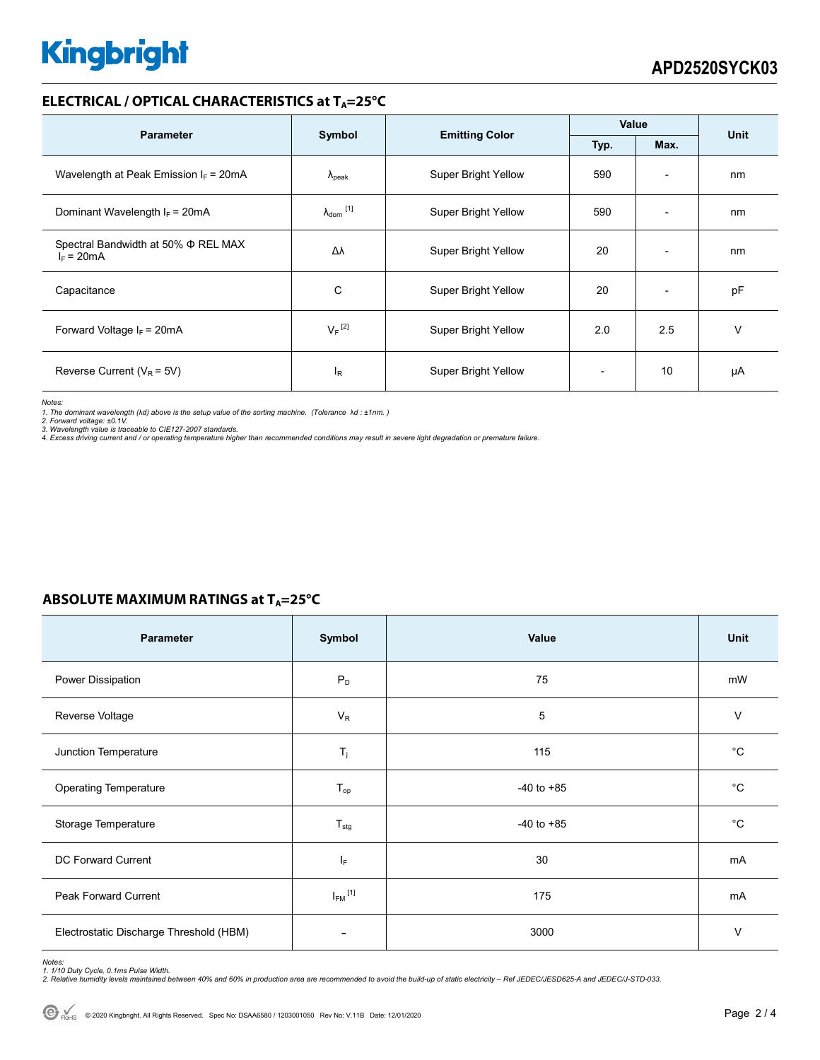# **Kingbright**

## **ELECTRICAL / OPTICAL CHARACTERISTICS at TA=25°C**

| <b>Parameter</b>                                    | Symbol                       |                            | Value        |                          | <b>Unit</b> |
|-----------------------------------------------------|------------------------------|----------------------------|--------------|--------------------------|-------------|
|                                                     |                              | <b>Emitting Color</b>      | Typ.<br>Max. |                          |             |
| Wavelength at Peak Emission $I_F$ = 20mA            | $\Lambda_{\rm peak}$         | Super Bright Yellow        | 590          | $\overline{\phantom{a}}$ | nm          |
| Dominant Wavelength $I_F = 20mA$                    | $\lambda_{\mathsf{dom}}$ [1] | Super Bright Yellow        | 590          | ٠                        | nm          |
| Spectral Bandwidth at 50% Φ REL MAX<br>$I_F = 20mA$ | Δλ                           | <b>Super Bright Yellow</b> | 20           | $\overline{\phantom{a}}$ | nm          |
| Capacitance                                         | С                            | <b>Super Bright Yellow</b> | 20           | $\overline{\phantom{a}}$ | pF          |
| Forward Voltage $I_F$ = 20mA                        | $V_F$ <sup>[2]</sup>         | <b>Super Bright Yellow</b> | 2.0          | 2.5                      | v           |
| Reverse Current ( $V_R$ = 5V)                       | $I_{R}$                      | <b>Super Bright Yellow</b> |              | 10                       | μA          |

*Notes:* 

1. The dominant wavelength (λd) above is the setup value of the sorting machine. (Tolerance λd : ±1nm. )<br>2. Forward voltage: ±0.1V.<br>3. Wavelength value is traceable to CIE127-2007 standards.<br>4. Excess driving current and

|  |  | ABSOLUTE MAXIMUM RATINGS at $T_A = 25^{\circ}C$ |  |
|--|--|-------------------------------------------------|--|
|--|--|-------------------------------------------------|--|

| Parameter                               | Symbol                  | Value          | Unit        |
|-----------------------------------------|-------------------------|----------------|-------------|
| Power Dissipation                       | $P_D$                   | 75             | mW          |
| Reverse Voltage                         | $V_R$                   | 5              | V           |
| Junction Temperature                    | $T_j$                   | 115            | $^{\circ}C$ |
| <b>Operating Temperature</b>            | $T_{op}$                | $-40$ to $+85$ | °С          |
| Storage Temperature                     | $T_{\text{stg}}$        | $-40$ to $+85$ | °С          |
| <b>DC Forward Current</b>               | ΙF                      | 30             | mA          |
| Peak Forward Current                    | $I_{FM}$ <sup>[1]</sup> | 175            | mA          |
| Electrostatic Discharge Threshold (HBM) |                         | 3000           | $\vee$      |

Notes:<br>1. 1/10 Duty Cycle, 0.1ms Pulse Width.<br>2. Relative humidity levels maintained between 40% and 60% in production area are recommended to avoid the build-up of static electricity – Ref JEDEC/JESD625-A and JEDEC/J-STD-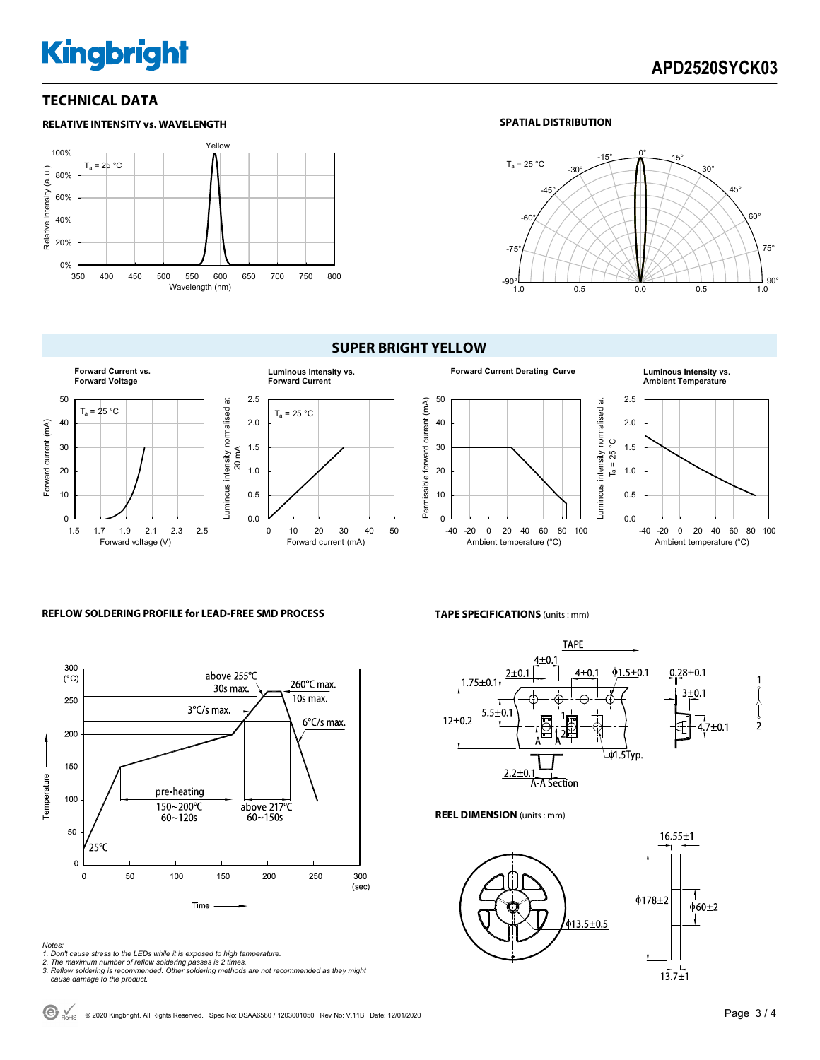# **Kingbright**

## **TECHNICAL DATA**



#### **SPATIAL DISTRIBUTION**



## **SUPER BRIGHT YELLOW**



#### **Forward Current Derating Curve Luminous Intensity vs.**  50 Permissible forward current (mA) Luminous intensity normalised at  $T_a = 25 °C$ Permissible forward current (mA) Luminous intensity normalised at 40 30 20 10 0 -40 -20 0 20 40 60 80 100 Ambient temperature (°C)

## **Ambient Temperature**



#### **REFLOW SOLDERING PROFILE for LEAD-FREE SMD PROCESS**



- *Notes: 1. Don't cause stress to the LEDs while it is exposed to high temperature. 2. The maximum number of reflow soldering passes is 2 times.*
- 
- *3. Reflow soldering is recommended. Other soldering methods are not recommended as they might cause damage to the product.*

#### **TAPE SPECIFICATIONS** (units : mm)



**REEL DIMENSION** (units : mm)